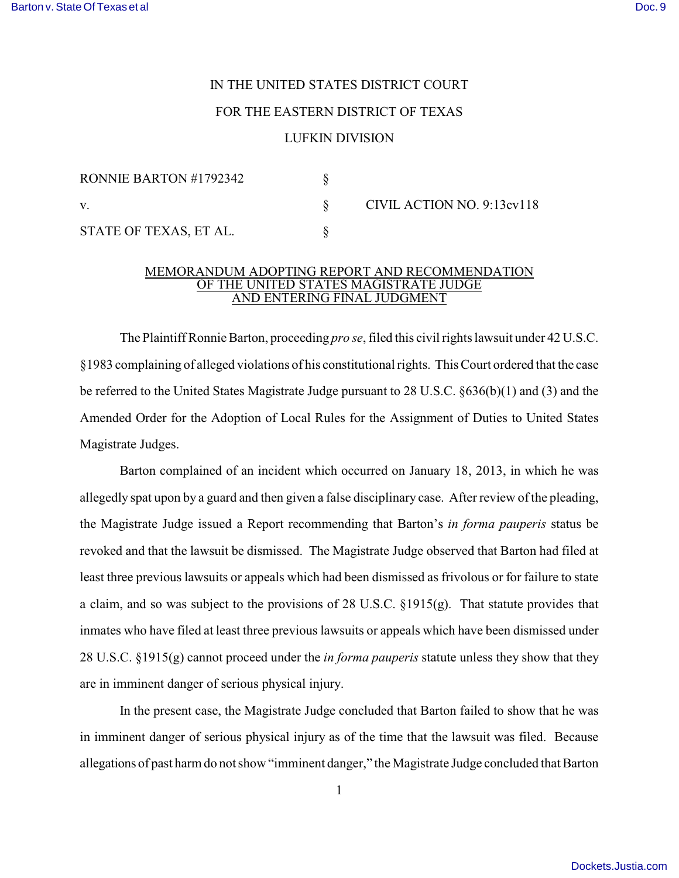## IN THE UNITED STATES DISTRICT COURT FOR THE EASTERN DISTRICT OF TEXAS

## LUFKIN DIVISION

| RONNIE BARTON #1792342 |                            |
|------------------------|----------------------------|
|                        | CIVIL ACTION NO. 9:13cv118 |
| STATE OF TEXAS, ET AL. |                            |

## MEMORANDUM ADOPTING REPORT AND RECOMMENDATION OF THE UNITED STATES MAGISTRATE JUDGE AND ENTERING FINAL JUDGMENT

The Plaintiff Ronnie Barton, proceeding *pro se*, filed this civil rights lawsuit under 42 U.S.C. §1983 complaining of alleged violations of his constitutional rights. This Court ordered that the case be referred to the United States Magistrate Judge pursuant to 28 U.S.C. §636(b)(1) and (3) and the Amended Order for the Adoption of Local Rules for the Assignment of Duties to United States Magistrate Judges.

Barton complained of an incident which occurred on January 18, 2013, in which he was allegedly spat upon by a guard and then given a false disciplinary case. After review of the pleading, the Magistrate Judge issued a Report recommending that Barton's *in forma pauperis* status be revoked and that the lawsuit be dismissed. The Magistrate Judge observed that Barton had filed at least three previous lawsuits or appeals which had been dismissed as frivolous or for failure to state a claim, and so was subject to the provisions of 28 U.S.C. §1915(g). That statute provides that inmates who have filed at least three previous lawsuits or appeals which have been dismissed under 28 U.S.C. §1915(g) cannot proceed under the *in forma pauperis* statute unless they show that they are in imminent danger of serious physical injury.

In the present case, the Magistrate Judge concluded that Barton failed to show that he was in imminent danger of serious physical injury as of the time that the lawsuit was filed. Because allegations of past harm do not show "imminent danger," the Magistrate Judge concluded that Barton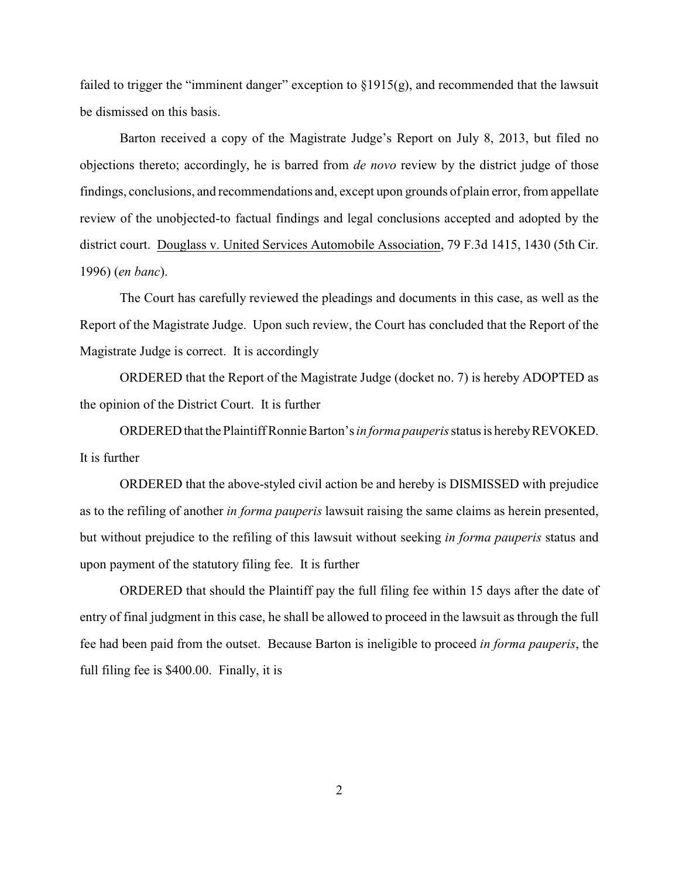failed to trigger the "imminent danger" exception to §1915(g), and recommended that the lawsuit be dismissed on this basis.

Barton received a copy of the Magistrate Judge's Report on July 8, 2013, but filed no objections thereto; accordingly, he is barred from *de novo* review by the district judge of those findings, conclusions, and recommendations and, except upon grounds of plain error, from appellate review of the unobjected-to factual findings and legal conclusions accepted and adopted by the district court. Douglass v. United Services Automobile Association, 79 F.3d 1415, 1430 (5th Cir. 1996) (*en banc*).

The Court has carefully reviewed the pleadings and documents in this case, as well as the Report of the Magistrate Judge. Upon such review, the Court has concluded that the Report of the Magistrate Judge is correct. It is accordingly

ORDERED that the Report of the Magistrate Judge (docket no. 7) is hereby ADOPTED as the opinion of the District Court. It is further

ORDERED that the Plaintiff Ronnie Barton's*in forma pauperis* status is hereby REVOKED. It is further

ORDERED that the above-styled civil action be and hereby is DISMISSED with prejudice as to the refiling of another *in forma pauperis* lawsuit raising the same claims as herein presented, but without prejudice to the refiling of this lawsuit without seeking *in forma pauperis* status and upon payment of the statutory filing fee. It is further

ORDERED that should the Plaintiff pay the full filing fee within 15 days after the date of entry of final judgment in this case, he shall be allowed to proceed in the lawsuit as through the full fee had been paid from the outset. Because Barton is ineligible to proceed *in forma pauperis*, the full filing fee is \$400.00. Finally, it is

2